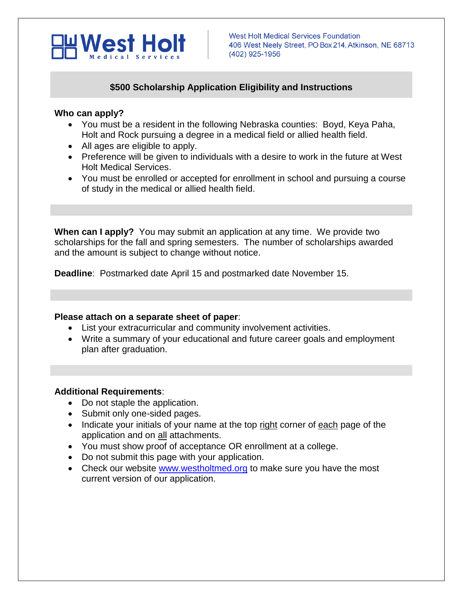

## **\$500 Scholarship Application Eligibility and Instructions**

#### **Who can apply?**

- You must be a resident in the following Nebraska counties: Boyd, Keya Paha, Holt and Rock pursuing a degree in a medical field or allied health field.
- All ages are eligible to apply.
- Preference will be given to individuals with a desire to work in the future at West Holt Medical Services.
- You must be enrolled or accepted for enrollment in school and pursuing a course of study in the medical or allied health field.

**When can I apply?** You may submit an application at any time. We provide two scholarships for the fall and spring semesters. The number of scholarships awarded and the amount is subject to change without notice.

**Deadline**: Postmarked date April 15 and postmarked date November 15.

### **Please attach on a separate sheet of paper**:

- List your extracurricular and community involvement activities.
- Write a summary of your educational and future career goals and employment plan after graduation.

### **Additional Requirements**:

- Do not staple the application.
- Submit only one-sided pages.
- Indicate your initials of your name at the top right corner of each page of the application and on all attachments.
- You must show proof of acceptance OR enrollment at a college.
- Do not submit this page with your application.
- Check our website [www.westholtmed.org](http://www.westholtmed.org/) to make sure you have the most current version of our application.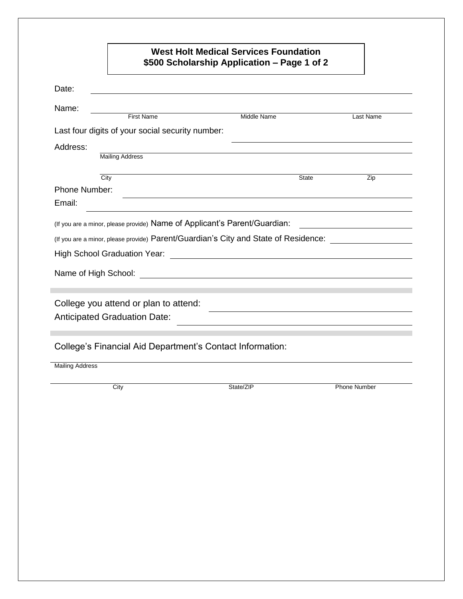# **West Holt Medical Services Foundation \$500 Scholarship Application – Page 1 of 2**

| Date:                  |                                                                                                                                                                                                                               |                                             |                     |
|------------------------|-------------------------------------------------------------------------------------------------------------------------------------------------------------------------------------------------------------------------------|---------------------------------------------|---------------------|
| Name:                  |                                                                                                                                                                                                                               |                                             |                     |
|                        | <b>First Name</b>                                                                                                                                                                                                             | Middle Name                                 | Last Name           |
|                        | Last four digits of your social security number:                                                                                                                                                                              |                                             |                     |
| Address:               |                                                                                                                                                                                                                               |                                             |                     |
|                        | <b>Mailing Address</b>                                                                                                                                                                                                        |                                             |                     |
| City                   |                                                                                                                                                                                                                               | State                                       | Zip                 |
| Phone Number:          |                                                                                                                                                                                                                               |                                             |                     |
| Email:                 |                                                                                                                                                                                                                               |                                             |                     |
|                        |                                                                                                                                                                                                                               |                                             |                     |
|                        | (If you are a minor, please provide) Name of Applicant's Parent/Guardian:                                                                                                                                                     |                                             |                     |
|                        | (If you are a minor, please provide) Parent/Guardian's City and State of Residence:                                                                                                                                           |                                             |                     |
|                        | <b>High School Graduation Year:</b>                                                                                                                                                                                           | <u> 1989 - Jan Samuel Barbara, martin d</u> |                     |
|                        | Name of High School: We have a state of the state of the state of the state of the state of the state of the state of the state of the state of the state of the state of the state of the state of the state of the state of |                                             |                     |
|                        |                                                                                                                                                                                                                               |                                             |                     |
|                        | College you attend or plan to attend:                                                                                                                                                                                         |                                             |                     |
|                        | <b>Anticipated Graduation Date:</b>                                                                                                                                                                                           |                                             |                     |
|                        |                                                                                                                                                                                                                               |                                             |                     |
|                        | College's Financial Aid Department's Contact Information:                                                                                                                                                                     |                                             |                     |
|                        |                                                                                                                                                                                                                               |                                             |                     |
| <b>Mailing Address</b> |                                                                                                                                                                                                                               |                                             |                     |
|                        | City                                                                                                                                                                                                                          | State/ZIP                                   | <b>Phone Number</b> |
|                        |                                                                                                                                                                                                                               |                                             |                     |
|                        |                                                                                                                                                                                                                               |                                             |                     |
|                        |                                                                                                                                                                                                                               |                                             |                     |
|                        |                                                                                                                                                                                                                               |                                             |                     |
|                        |                                                                                                                                                                                                                               |                                             |                     |